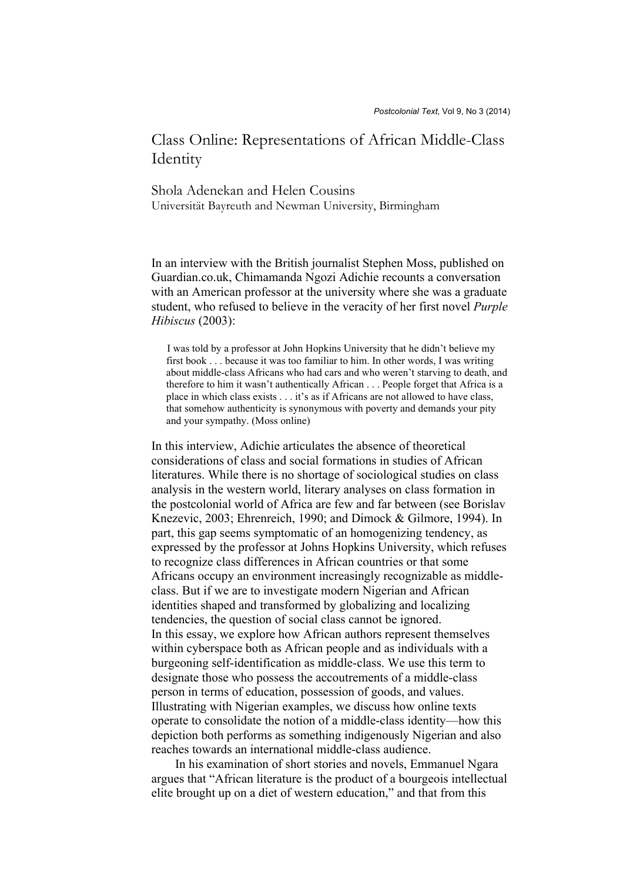## Class Online: Representations of African Middle-Class **Identity**

Shola Adenekan and Helen Cousins Universität Bayreuth and Newman University, Birmingham

In an interview with the British journalist Stephen Moss, published on Guardian.co.uk, Chimamanda Ngozi Adichie recounts a conversation with an American professor at the university where she was a graduate student, who refused to believe in the veracity of her first novel *Purple Hibiscus* (2003):

 I was told by a professor at John Hopkins University that he didn't believe my first book . . . because it was too familiar to him. In other words, I was writing about middle-class Africans who had cars and who weren't starving to death, and therefore to him it wasn't authentically African . . . People forget that Africa is a place in which class exists . . . it's as if Africans are not allowed to have class, that somehow authenticity is synonymous with poverty and demands your pity and your sympathy. (Moss online)

In this interview, Adichie articulates the absence of theoretical considerations of class and social formations in studies of African literatures. While there is no shortage of sociological studies on class analysis in the western world, literary analyses on class formation in the postcolonial world of Africa are few and far between (see Borislav Knezevic, 2003; Ehrenreich, 1990; and Dimock & Gilmore, 1994). In part, this gap seems symptomatic of an homogenizing tendency, as expressed by the professor at Johns Hopkins University, which refuses to recognize class differences in African countries or that some Africans occupy an environment increasingly recognizable as middleclass. But if we are to investigate modern Nigerian and African identities shaped and transformed by globalizing and localizing tendencies, the question of social class cannot be ignored. In this essay, we explore how African authors represent themselves within cyberspace both as African people and as individuals with a burgeoning self-identification as middle-class. We use this term to designate those who possess the accoutrements of a middle-class person in terms of education, possession of goods, and values. Illustrating with Nigerian examples, we discuss how online texts operate to consolidate the notion of a middle-class identity—how this depiction both performs as something indigenously Nigerian and also reaches towards an international middle-class audience.

In his examination of short stories and novels, Emmanuel Ngara argues that "African literature is the product of a bourgeois intellectual elite brought up on a diet of western education," and that from this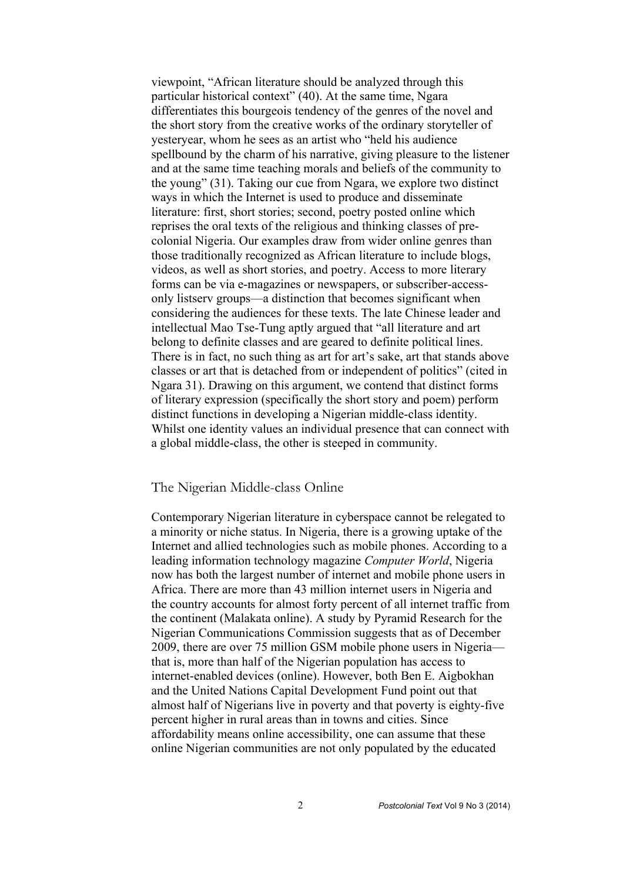viewpoint, "African literature should be analyzed through this particular historical context" (40). At the same time, Ngara differentiates this bourgeois tendency of the genres of the novel and the short story from the creative works of the ordinary storyteller of yesteryear, whom he sees as an artist who "held his audience spellbound by the charm of his narrative, giving pleasure to the listener and at the same time teaching morals and beliefs of the community to the young" (31). Taking our cue from Ngara, we explore two distinct ways in which the Internet is used to produce and disseminate literature: first, short stories; second, poetry posted online which reprises the oral texts of the religious and thinking classes of precolonial Nigeria. Our examples draw from wider online genres than those traditionally recognized as African literature to include blogs, videos, as well as short stories, and poetry. Access to more literary forms can be via e-magazines or newspapers, or subscriber-accessonly listserv groups—a distinction that becomes significant when considering the audiences for these texts. The late Chinese leader and intellectual Mao Tse-Tung aptly argued that "all literature and art belong to definite classes and are geared to definite political lines. There is in fact, no such thing as art for art's sake, art that stands above classes or art that is detached from or independent of politics" (cited in Ngara 31). Drawing on this argument, we contend that distinct forms of literary expression (specifically the short story and poem) perform distinct functions in developing a Nigerian middle-class identity. Whilst one identity values an individual presence that can connect with a global middle-class, the other is steeped in community.

## The Nigerian Middle-class Online

Contemporary Nigerian literature in cyberspace cannot be relegated to a minority or niche status. In Nigeria, there is a growing uptake of the Internet and allied technologies such as mobile phones. According to a leading information technology magazine *Computer World*, Nigeria now has both the largest number of internet and mobile phone users in Africa. There are more than 43 million internet users in Nigeria and the country accounts for almost forty percent of all internet traffic from the continent (Malakata online). A study by Pyramid Research for the Nigerian Communications Commission suggests that as of December 2009, there are over 75 million GSM mobile phone users in Nigeria that is, more than half of the Nigerian population has access to internet-enabled devices (online). However, both Ben E. Aigbokhan and the United Nations Capital Development Fund point out that almost half of Nigerians live in poverty and that poverty is eighty-five percent higher in rural areas than in towns and cities. Since affordability means online accessibility, one can assume that these online Nigerian communities are not only populated by the educated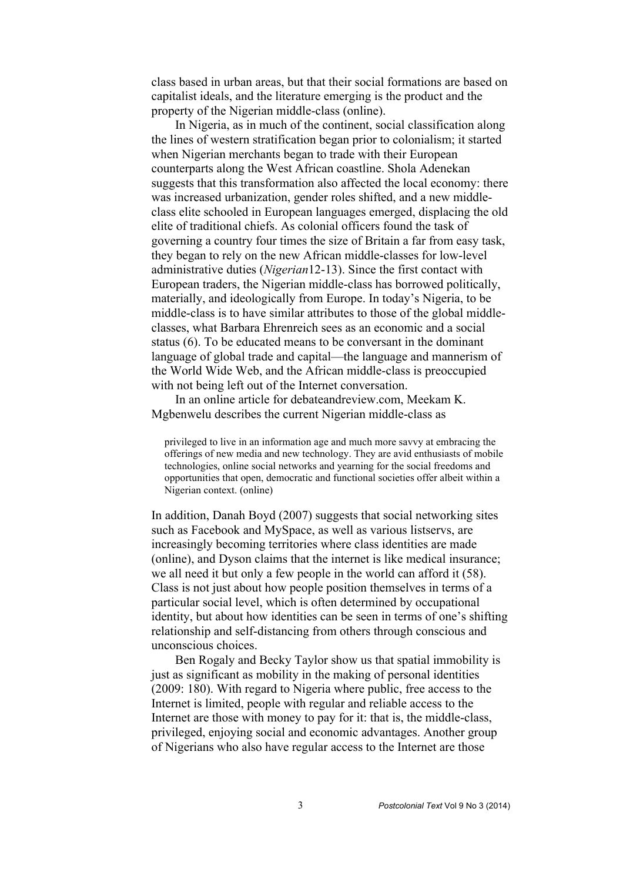class based in urban areas, but that their social formations are based on capitalist ideals, and the literature emerging is the product and the property of the Nigerian middle-class (online).

In Nigeria, as in much of the continent, social classification along the lines of western stratification began prior to colonialism; it started when Nigerian merchants began to trade with their European counterparts along the West African coastline. Shola Adenekan suggests that this transformation also affected the local economy: there was increased urbanization, gender roles shifted, and a new middleclass elite schooled in European languages emerged, displacing the old elite of traditional chiefs. As colonial officers found the task of governing a country four times the size of Britain a far from easy task, they began to rely on the new African middle-classes for low-level administrative duties (*Nigerian*12-13). Since the first contact with European traders, the Nigerian middle-class has borrowed politically, materially, and ideologically from Europe. In today's Nigeria, to be middle-class is to have similar attributes to those of the global middleclasses, what Barbara Ehrenreich sees as an economic and a social status (6). To be educated means to be conversant in the dominant language of global trade and capital—the language and mannerism of the World Wide Web, and the African middle-class is preoccupied with not being left out of the Internet conversation.

In an online article for debateandreview.com, Meekam K. Mgbenwelu describes the current Nigerian middle-class as

 privileged to live in an information age and much more savvy at embracing the offerings of new media and new technology. They are avid enthusiasts of mobile technologies, online social networks and yearning for the social freedoms and opportunities that open, democratic and functional societies offer albeit within a Nigerian context. (online)

In addition, Danah Boyd (2007) suggests that social networking sites such as Facebook and MySpace, as well as various listservs, are increasingly becoming territories where class identities are made (online), and Dyson claims that the internet is like medical insurance; we all need it but only a few people in the world can afford it (58). Class is not just about how people position themselves in terms of a particular social level, which is often determined by occupational identity, but about how identities can be seen in terms of one's shifting relationship and self-distancing from others through conscious and unconscious choices.

Ben Rogaly and Becky Taylor show us that spatial immobility is just as significant as mobility in the making of personal identities (2009: 180). With regard to Nigeria where public, free access to the Internet is limited, people with regular and reliable access to the Internet are those with money to pay for it: that is, the middle-class, privileged, enjoying social and economic advantages. Another group of Nigerians who also have regular access to the Internet are those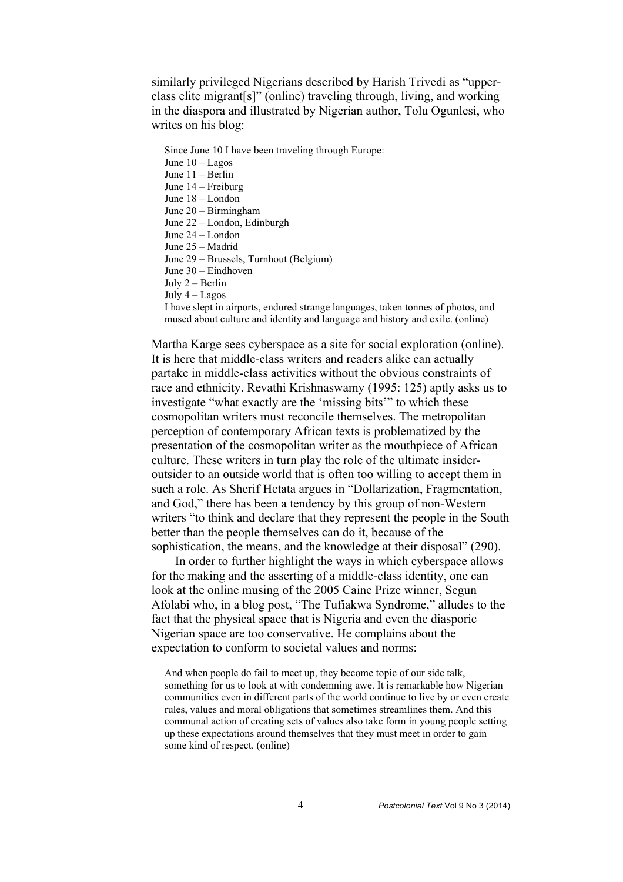similarly privileged Nigerians described by Harish Trivedi as "upperclass elite migrant[s]" (online) traveling through, living, and working in the diaspora and illustrated by Nigerian author, Tolu Ogunlesi, who writes on his blog:

 Since June 10 I have been traveling through Europe: June 10 – Lagos June 11 – Berlin June 14 – Freiburg June 18 – London June 20 – Birmingham June 22 – London, Edinburgh June 24 – London June 25 – Madrid June 29 – Brussels, Turnhout (Belgium) June 30 – Eindhoven July 2 – Berlin July 4 – Lagos I have slept in airports, endured strange languages, taken tonnes of photos, and mused about culture and identity and language and history and exile. (online)

Martha Karge sees cyberspace as a site for social exploration (online). It is here that middle-class writers and readers alike can actually partake in middle-class activities without the obvious constraints of race and ethnicity. Revathi Krishnaswamy (1995: 125) aptly asks us to investigate "what exactly are the 'missing bits'" to which these cosmopolitan writers must reconcile themselves. The metropolitan perception of contemporary African texts is problematized by the presentation of the cosmopolitan writer as the mouthpiece of African culture. These writers in turn play the role of the ultimate insideroutsider to an outside world that is often too willing to accept them in such a role. As Sherif Hetata argues in "Dollarization, Fragmentation, and God," there has been a tendency by this group of non-Western writers "to think and declare that they represent the people in the South better than the people themselves can do it, because of the sophistication, the means, and the knowledge at their disposal" (290).

In order to further highlight the ways in which cyberspace allows for the making and the asserting of a middle-class identity, one can look at the online musing of the 2005 Caine Prize winner, Segun Afolabi who, in a blog post, "The Tufiakwa Syndrome," alludes to the fact that the physical space that is Nigeria and even the diasporic Nigerian space are too conservative. He complains about the expectation to conform to societal values and norms:

 And when people do fail to meet up, they become topic of our side talk, something for us to look at with condemning awe. It is remarkable how Nigerian communities even in different parts of the world continue to live by or even create rules, values and moral obligations that sometimes streamlines them. And this communal action of creating sets of values also take form in young people setting up these expectations around themselves that they must meet in order to gain some kind of respect. (online)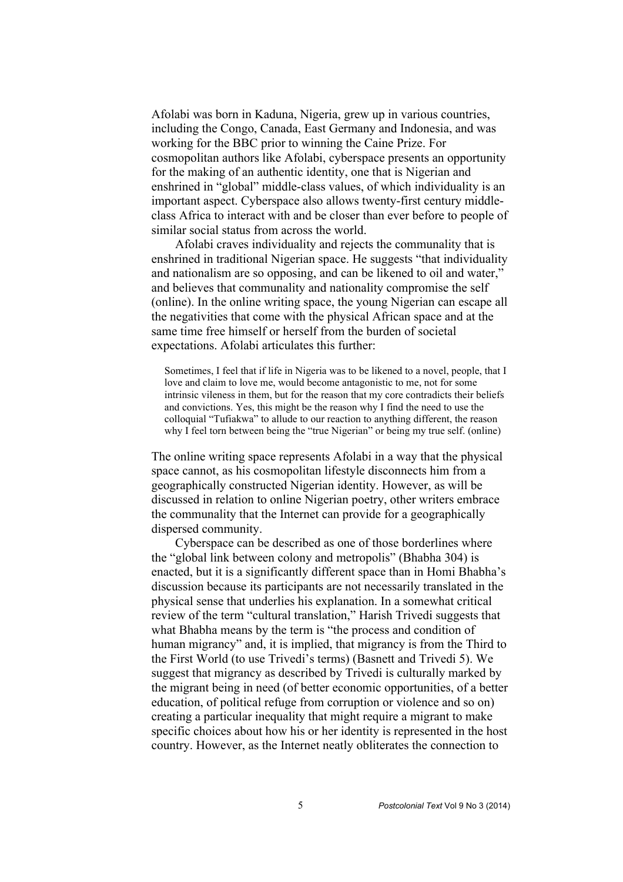Afolabi was born in Kaduna, Nigeria, grew up in various countries, including the Congo, Canada, East Germany and Indonesia, and was working for the BBC prior to winning the Caine Prize. For cosmopolitan authors like Afolabi, cyberspace presents an opportunity for the making of an authentic identity, one that is Nigerian and enshrined in "global" middle-class values, of which individuality is an important aspect. Cyberspace also allows twenty-first century middleclass Africa to interact with and be closer than ever before to people of similar social status from across the world.

Afolabi craves individuality and rejects the communality that is enshrined in traditional Nigerian space. He suggests "that individuality and nationalism are so opposing, and can be likened to oil and water," and believes that communality and nationality compromise the self (online). In the online writing space, the young Nigerian can escape all the negativities that come with the physical African space and at the same time free himself or herself from the burden of societal expectations. Afolabi articulates this further:

 Sometimes, I feel that if life in Nigeria was to be likened to a novel, people, that I love and claim to love me, would become antagonistic to me, not for some intrinsic vileness in them, but for the reason that my core contradicts their beliefs and convictions. Yes, this might be the reason why I find the need to use the colloquial "Tufiakwa" to allude to our reaction to anything different, the reason why I feel torn between being the "true Nigerian" or being my true self. (online)

The online writing space represents Afolabi in a way that the physical space cannot, as his cosmopolitan lifestyle disconnects him from a geographically constructed Nigerian identity. However, as will be discussed in relation to online Nigerian poetry, other writers embrace the communality that the Internet can provide for a geographically dispersed community.

Cyberspace can be described as one of those borderlines where the "global link between colony and metropolis" (Bhabha 304) is enacted, but it is a significantly different space than in Homi Bhabha's discussion because its participants are not necessarily translated in the physical sense that underlies his explanation. In a somewhat critical review of the term "cultural translation," Harish Trivedi suggests that what Bhabha means by the term is "the process and condition of human migrancy" and, it is implied, that migrancy is from the Third to the First World (to use Trivedi's terms) (Basnett and Trivedi 5). We suggest that migrancy as described by Trivedi is culturally marked by the migrant being in need (of better economic opportunities, of a better education, of political refuge from corruption or violence and so on) creating a particular inequality that might require a migrant to make specific choices about how his or her identity is represented in the host country. However, as the Internet neatly obliterates the connection to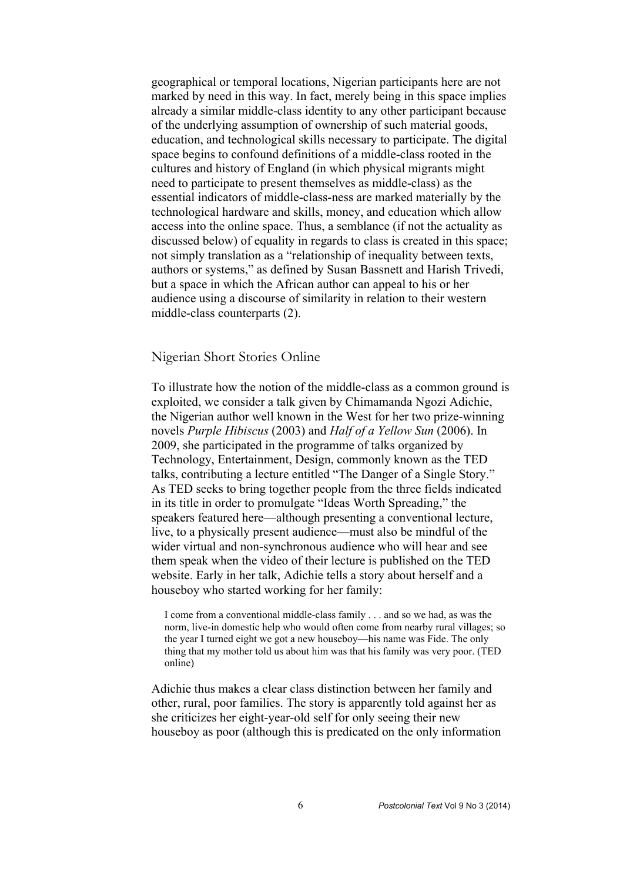geographical or temporal locations, Nigerian participants here are not marked by need in this way. In fact, merely being in this space implies already a similar middle-class identity to any other participant because of the underlying assumption of ownership of such material goods, education, and technological skills necessary to participate. The digital space begins to confound definitions of a middle-class rooted in the cultures and history of England (in which physical migrants might need to participate to present themselves as middle-class) as the essential indicators of middle-class-ness are marked materially by the technological hardware and skills, money, and education which allow access into the online space. Thus, a semblance (if not the actuality as discussed below) of equality in regards to class is created in this space; not simply translation as a "relationship of inequality between texts, authors or systems," as defined by Susan Bassnett and Harish Trivedi, but a space in which the African author can appeal to his or her audience using a discourse of similarity in relation to their western middle-class counterparts (2).

## Nigerian Short Stories Online

To illustrate how the notion of the middle-class as a common ground is exploited, we consider a talk given by Chimamanda Ngozi Adichie, the Nigerian author well known in the West for her two prize-winning novels *Purple Hibiscus* (2003) and *Half of a Yellow Sun* (2006). In 2009, she participated in the programme of talks organized by Technology, Entertainment, Design, commonly known as the TED talks, contributing a lecture entitled "The Danger of a Single Story." As TED seeks to bring together people from the three fields indicated in its title in order to promulgate "Ideas Worth Spreading," the speakers featured here—although presenting a conventional lecture, live, to a physically present audience—must also be mindful of the wider virtual and non-synchronous audience who will hear and see them speak when the video of their lecture is published on the TED website. Early in her talk, Adichie tells a story about herself and a houseboy who started working for her family:

 I come from a conventional middle-class family . . . and so we had, as was the norm, live-in domestic help who would often come from nearby rural villages; so the year I turned eight we got a new houseboy—his name was Fide. The only thing that my mother told us about him was that his family was very poor. (TED online)

Adichie thus makes a clear class distinction between her family and other, rural, poor families. The story is apparently told against her as she criticizes her eight-year-old self for only seeing their new houseboy as poor (although this is predicated on the only information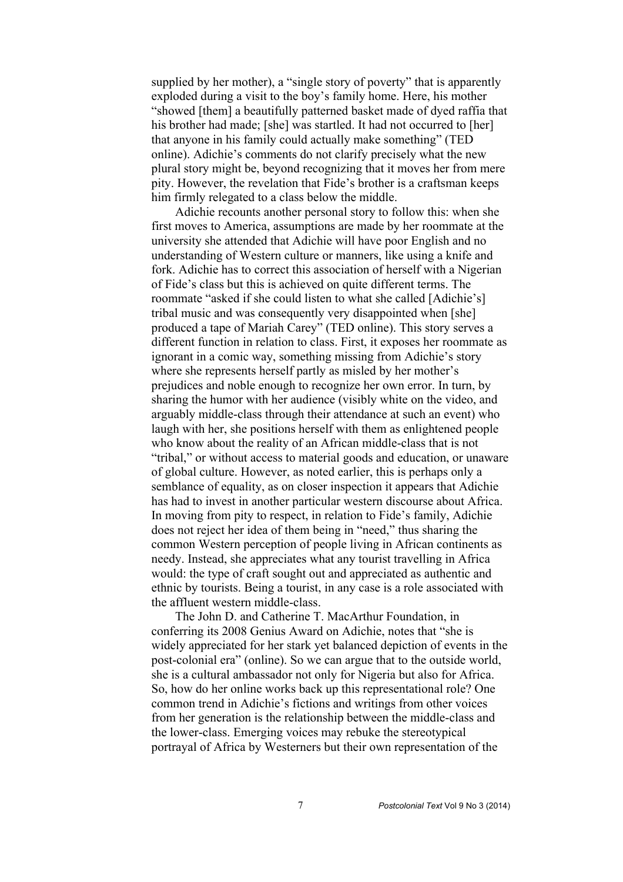supplied by her mother), a "single story of poverty" that is apparently exploded during a visit to the boy's family home. Here, his mother "showed [them] a beautifully patterned basket made of dyed raffia that his brother had made; [she] was startled. It had not occurred to [her] that anyone in his family could actually make something" (TED online). Adichie's comments do not clarify precisely what the new plural story might be, beyond recognizing that it moves her from mere pity. However, the revelation that Fide's brother is a craftsman keeps him firmly relegated to a class below the middle.

Adichie recounts another personal story to follow this: when she first moves to America, assumptions are made by her roommate at the university she attended that Adichie will have poor English and no understanding of Western culture or manners, like using a knife and fork. Adichie has to correct this association of herself with a Nigerian of Fide's class but this is achieved on quite different terms. The roommate "asked if she could listen to what she called [Adichie's] tribal music and was consequently very disappointed when [she] produced a tape of Mariah Carey" (TED online). This story serves a different function in relation to class. First, it exposes her roommate as ignorant in a comic way, something missing from Adichie's story where she represents herself partly as misled by her mother's prejudices and noble enough to recognize her own error. In turn, by sharing the humor with her audience (visibly white on the video, and arguably middle-class through their attendance at such an event) who laugh with her, she positions herself with them as enlightened people who know about the reality of an African middle-class that is not "tribal," or without access to material goods and education, or unaware of global culture. However, as noted earlier, this is perhaps only a semblance of equality, as on closer inspection it appears that Adichie has had to invest in another particular western discourse about Africa. In moving from pity to respect, in relation to Fide's family, Adichie does not reject her idea of them being in "need," thus sharing the common Western perception of people living in African continents as needy. Instead, she appreciates what any tourist travelling in Africa would: the type of craft sought out and appreciated as authentic and ethnic by tourists. Being a tourist, in any case is a role associated with the affluent western middle-class.

The John D. and Catherine T. MacArthur Foundation, in conferring its 2008 Genius Award on Adichie, notes that "she is widely appreciated for her stark yet balanced depiction of events in the post-colonial era" (online). So we can argue that to the outside world, she is a cultural ambassador not only for Nigeria but also for Africa. So, how do her online works back up this representational role? One common trend in Adichie's fictions and writings from other voices from her generation is the relationship between the middle-class and the lower-class. Emerging voices may rebuke the stereotypical portrayal of Africa by Westerners but their own representation of the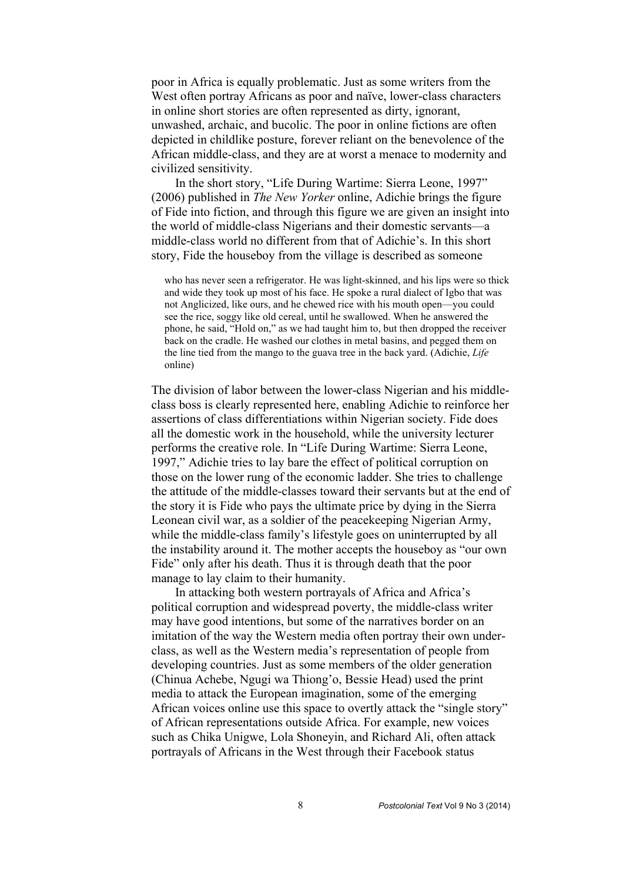poor in Africa is equally problematic. Just as some writers from the West often portray Africans as poor and naïve, lower-class characters in online short stories are often represented as dirty, ignorant, unwashed, archaic, and bucolic. The poor in online fictions are often depicted in childlike posture, forever reliant on the benevolence of the African middle-class, and they are at worst a menace to modernity and civilized sensitivity.

In the short story, "Life During Wartime: Sierra Leone, 1997" (2006) published in *The New Yorker* online, Adichie brings the figure of Fide into fiction, and through this figure we are given an insight into the world of middle-class Nigerians and their domestic servants—a middle-class world no different from that of Adichie's. In this short story, Fide the houseboy from the village is described as someone

 who has never seen a refrigerator. He was light-skinned, and his lips were so thick and wide they took up most of his face. He spoke a rural dialect of Igbo that was not Anglicized, like ours, and he chewed rice with his mouth open—you could see the rice, soggy like old cereal, until he swallowed. When he answered the phone, he said, "Hold on," as we had taught him to, but then dropped the receiver back on the cradle. He washed our clothes in metal basins, and pegged them on the line tied from the mango to the guava tree in the back yard. (Adichie, *Life* online)

The division of labor between the lower-class Nigerian and his middleclass boss is clearly represented here, enabling Adichie to reinforce her assertions of class differentiations within Nigerian society. Fide does all the domestic work in the household, while the university lecturer performs the creative role. In "Life During Wartime: Sierra Leone, 1997," Adichie tries to lay bare the effect of political corruption on those on the lower rung of the economic ladder. She tries to challenge the attitude of the middle-classes toward their servants but at the end of the story it is Fide who pays the ultimate price by dying in the Sierra Leonean civil war, as a soldier of the peacekeeping Nigerian Army, while the middle-class family's lifestyle goes on uninterrupted by all the instability around it. The mother accepts the houseboy as "our own Fide" only after his death. Thus it is through death that the poor manage to lay claim to their humanity.

In attacking both western portrayals of Africa and Africa's political corruption and widespread poverty, the middle-class writer may have good intentions, but some of the narratives border on an imitation of the way the Western media often portray their own underclass, as well as the Western media's representation of people from developing countries. Just as some members of the older generation (Chinua Achebe, Ngugi wa Thiong'o, Bessie Head) used the print media to attack the European imagination, some of the emerging African voices online use this space to overtly attack the "single story" of African representations outside Africa. For example, new voices such as Chika Unigwe, Lola Shoneyin, and Richard Ali, often attack portrayals of Africans in the West through their Facebook status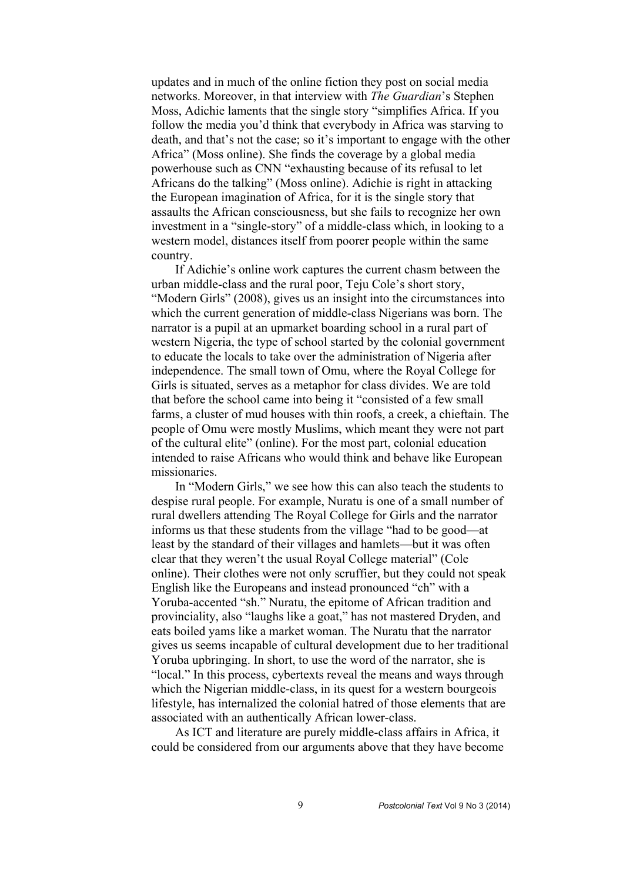updates and in much of the online fiction they post on social media networks. Moreover, in that interview with *The Guardian*'s Stephen Moss, Adichie laments that the single story "simplifies Africa. If you follow the media you'd think that everybody in Africa was starving to death, and that's not the case; so it's important to engage with the other Africa" (Moss online). She finds the coverage by a global media powerhouse such as CNN "exhausting because of its refusal to let Africans do the talking" (Moss online). Adichie is right in attacking the European imagination of Africa, for it is the single story that assaults the African consciousness, but she fails to recognize her own investment in a "single-story" of a middle-class which, in looking to a western model, distances itself from poorer people within the same country.

If Adichie's online work captures the current chasm between the urban middle-class and the rural poor, Teju Cole's short story, "Modern Girls" (2008), gives us an insight into the circumstances into which the current generation of middle-class Nigerians was born. The narrator is a pupil at an upmarket boarding school in a rural part of western Nigeria, the type of school started by the colonial government to educate the locals to take over the administration of Nigeria after independence. The small town of Omu, where the Royal College for Girls is situated, serves as a metaphor for class divides. We are told that before the school came into being it "consisted of a few small farms, a cluster of mud houses with thin roofs, a creek, a chieftain. The people of Omu were mostly Muslims, which meant they were not part of the cultural elite" (online). For the most part, colonial education intended to raise Africans who would think and behave like European missionaries.

In "Modern Girls," we see how this can also teach the students to despise rural people. For example, Nuratu is one of a small number of rural dwellers attending The Royal College for Girls and the narrator informs us that these students from the village "had to be good—at least by the standard of their villages and hamlets—but it was often clear that they weren't the usual Royal College material" (Cole online). Their clothes were not only scruffier, but they could not speak English like the Europeans and instead pronounced "ch" with a Yoruba-accented "sh." Nuratu, the epitome of African tradition and provinciality, also "laughs like a goat," has not mastered Dryden, and eats boiled yams like a market woman. The Nuratu that the narrator gives us seems incapable of cultural development due to her traditional Yoruba upbringing. In short, to use the word of the narrator, she is "local." In this process, cybertexts reveal the means and ways through which the Nigerian middle-class, in its quest for a western bourgeois lifestyle, has internalized the colonial hatred of those elements that are associated with an authentically African lower-class.

As ICT and literature are purely middle-class affairs in Africa, it could be considered from our arguments above that they have become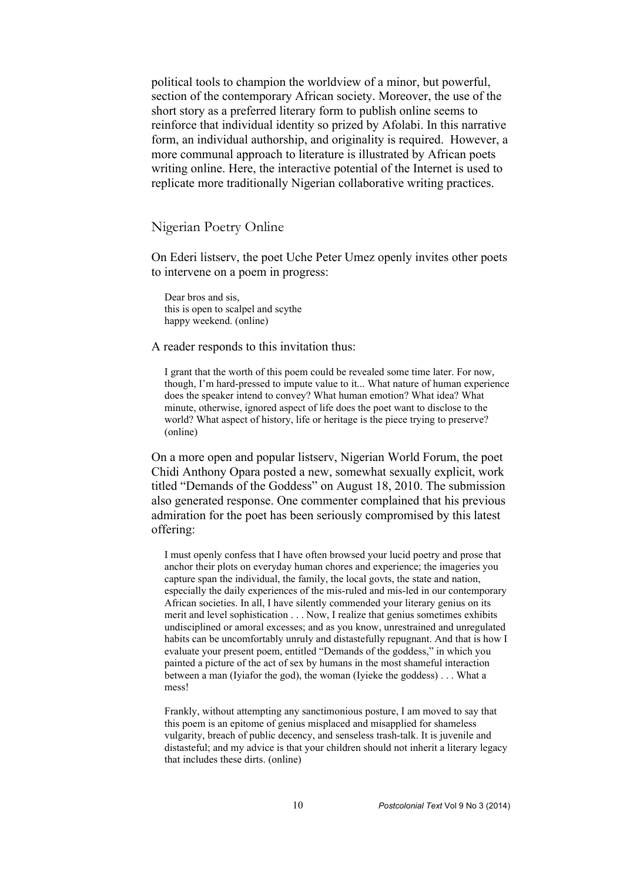political tools to champion the worldview of a minor, but powerful, section of the contemporary African society. Moreover, the use of the short story as a preferred literary form to publish online seems to reinforce that individual identity so prized by Afolabi. In this narrative form, an individual authorship, and originality is required. However, a more communal approach to literature is illustrated by African poets writing online. Here, the interactive potential of the Internet is used to replicate more traditionally Nigerian collaborative writing practices.

## Nigerian Poetry Online

On Ederi listserv, the poet Uche Peter Umez openly invites other poets to intervene on a poem in progress:

 Dear bros and sis, this is open to scalpel and scythe happy weekend. (online)

A reader responds to this invitation thus:

 I grant that the worth of this poem could be revealed some time later. For now, though, I'm hard-pressed to impute value to it... What nature of human experience does the speaker intend to convey? What human emotion? What idea? What minute, otherwise, ignored aspect of life does the poet want to disclose to the world? What aspect of history, life or heritage is the piece trying to preserve? (online)

On a more open and popular listserv, Nigerian World Forum, the poet Chidi Anthony Opara posted a new, somewhat sexually explicit, work titled "Demands of the Goddess" on August 18, 2010. The submission also generated response. One commenter complained that his previous admiration for the poet has been seriously compromised by this latest offering:

 I must openly confess that I have often browsed your lucid poetry and prose that anchor their plots on everyday human chores and experience; the imageries you capture span the individual, the family, the local govts, the state and nation, especially the daily experiences of the mis-ruled and mis-led in our contemporary African societies. In all, I have silently commended your literary genius on its merit and level sophistication . . . Now, I realize that genius sometimes exhibits undisciplined or amoral excesses; and as you know, unrestrained and unregulated habits can be uncomfortably unruly and distastefully repugnant. And that is how I evaluate your present poem, entitled "Demands of the goddess," in which you painted a picture of the act of sex by humans in the most shameful interaction between a man (Iyiafor the god), the woman (Iyieke the goddess) . . . What a mess!

 Frankly, without attempting any sanctimonious posture, I am moved to say that this poem is an epitome of genius misplaced and misapplied for shameless vulgarity, breach of public decency, and senseless trash-talk. It is juvenile and distasteful; and my advice is that your children should not inherit a literary legacy that includes these dirts. (online)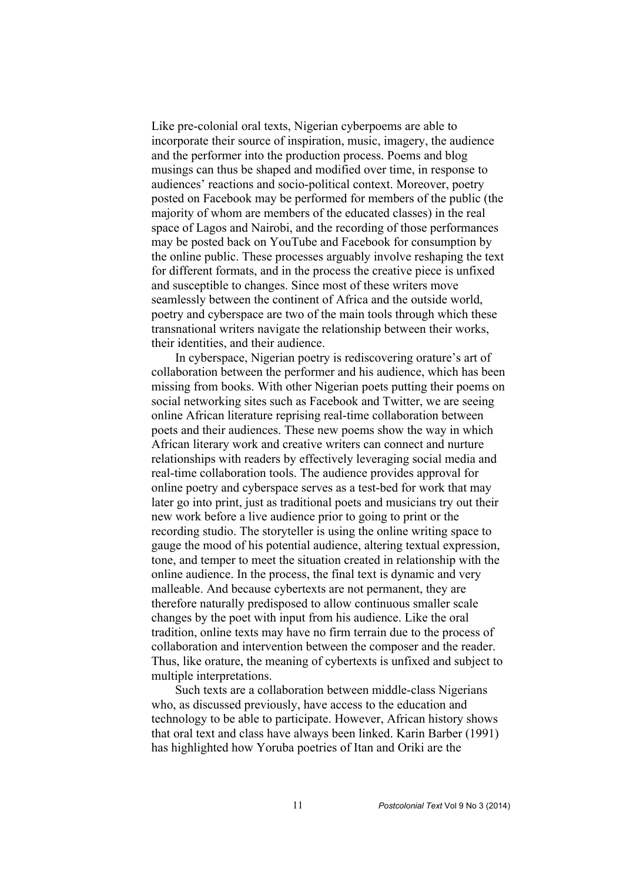Like pre-colonial oral texts, Nigerian cyberpoems are able to incorporate their source of inspiration, music, imagery, the audience and the performer into the production process. Poems and blog musings can thus be shaped and modified over time, in response to audiences' reactions and socio-political context. Moreover, poetry posted on Facebook may be performed for members of the public (the majority of whom are members of the educated classes) in the real space of Lagos and Nairobi, and the recording of those performances may be posted back on YouTube and Facebook for consumption by the online public. These processes arguably involve reshaping the text for different formats, and in the process the creative piece is unfixed and susceptible to changes. Since most of these writers move seamlessly between the continent of Africa and the outside world, poetry and cyberspace are two of the main tools through which these transnational writers navigate the relationship between their works, their identities, and their audience.

In cyberspace, Nigerian poetry is rediscovering orature's art of collaboration between the performer and his audience, which has been missing from books. With other Nigerian poets putting their poems on social networking sites such as Facebook and Twitter, we are seeing online African literature reprising real-time collaboration between poets and their audiences. These new poems show the way in which African literary work and creative writers can connect and nurture relationships with readers by effectively leveraging social media and real-time collaboration tools. The audience provides approval for online poetry and cyberspace serves as a test-bed for work that may later go into print, just as traditional poets and musicians try out their new work before a live audience prior to going to print or the recording studio. The storyteller is using the online writing space to gauge the mood of his potential audience, altering textual expression, tone, and temper to meet the situation created in relationship with the online audience. In the process, the final text is dynamic and very malleable. And because cybertexts are not permanent, they are therefore naturally predisposed to allow continuous smaller scale changes by the poet with input from his audience. Like the oral tradition, online texts may have no firm terrain due to the process of collaboration and intervention between the composer and the reader. Thus, like orature, the meaning of cybertexts is unfixed and subject to multiple interpretations.

Such texts are a collaboration between middle-class Nigerians who, as discussed previously, have access to the education and technology to be able to participate. However, African history shows that oral text and class have always been linked. Karin Barber (1991) has highlighted how Yoruba poetries of Itan and Oriki are the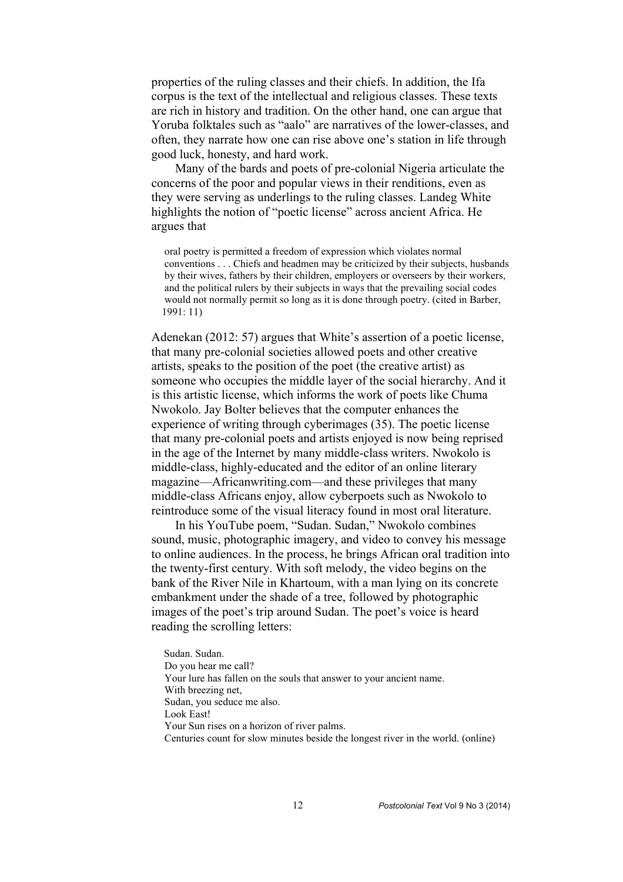properties of the ruling classes and their chiefs. In addition, the Ifa corpus is the text of the intellectual and religious classes. These texts are rich in history and tradition. On the other hand, one can argue that Yoruba folktales such as "aalo" are narratives of the lower-classes, and often, they narrate how one can rise above one's station in life through good luck, honesty, and hard work.

Many of the bards and poets of pre-colonial Nigeria articulate the concerns of the poor and popular views in their renditions, even as they were serving as underlings to the ruling classes. Landeg White highlights the notion of "poetic license" across ancient Africa. He argues that

 oral poetry is permitted a freedom of expression which violates normal conventions . . . Chiefs and headmen may be criticized by their subjects, husbands by their wives, fathers by their children, employers or overseers by their workers, and the political rulers by their subjects in ways that the prevailing social codes would not normally permit so long as it is done through poetry. (cited in Barber, 1991: 11)

Adenekan (2012: 57) argues that White's assertion of a poetic license, that many pre-colonial societies allowed poets and other creative artists, speaks to the position of the poet (the creative artist) as someone who occupies the middle layer of the social hierarchy. And it is this artistic license, which informs the work of poets like Chuma Nwokolo. Jay Bolter believes that the computer enhances the experience of writing through cyberimages (35). The poetic license that many pre-colonial poets and artists enjoyed is now being reprised in the age of the Internet by many middle-class writers. Nwokolo is middle-class, highly-educated and the editor of an online literary magazine—Africanwriting.com—and these privileges that many middle-class Africans enjoy, allow cyberpoets such as Nwokolo to reintroduce some of the visual literacy found in most oral literature.

In his YouTube poem, "Sudan. Sudan," Nwokolo combines sound, music, photographic imagery, and video to convey his message to online audiences. In the process, he brings African oral tradition into the twenty-first century. With soft melody, the video begins on the bank of the River Nile in Khartoum, with a man lying on its concrete embankment under the shade of a tree, followed by photographic images of the poet's trip around Sudan. The poet's voice is heard reading the scrolling letters:

 Sudan. Sudan. Do you hear me call? Your lure has fallen on the souls that answer to your ancient name. With breezing net, Sudan, you seduce me also. Look East! Your Sun rises on a horizon of river palms. Centuries count for slow minutes beside the longest river in the world. (online)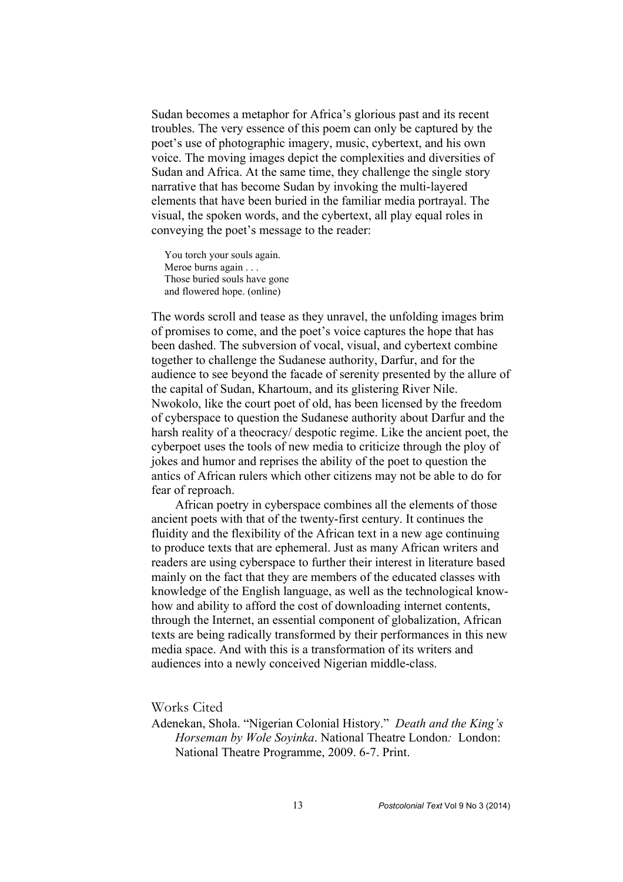Sudan becomes a metaphor for Africa's glorious past and its recent troubles. The very essence of this poem can only be captured by the poet's use of photographic imagery, music, cybertext, and his own voice. The moving images depict the complexities and diversities of Sudan and Africa. At the same time, they challenge the single story narrative that has become Sudan by invoking the multi-layered elements that have been buried in the familiar media portrayal. The visual, the spoken words, and the cybertext, all play equal roles in conveying the poet's message to the reader:

 You torch your souls again. Meroe burns again . . . Those buried souls have gone and flowered hope. (online)

The words scroll and tease as they unravel, the unfolding images brim of promises to come, and the poet's voice captures the hope that has been dashed. The subversion of vocal, visual, and cybertext combine together to challenge the Sudanese authority, Darfur, and for the audience to see beyond the facade of serenity presented by the allure of the capital of Sudan, Khartoum, and its glistering River Nile. Nwokolo, like the court poet of old, has been licensed by the freedom of cyberspace to question the Sudanese authority about Darfur and the harsh reality of a theocracy/ despotic regime. Like the ancient poet, the cyberpoet uses the tools of new media to criticize through the ploy of jokes and humor and reprises the ability of the poet to question the antics of African rulers which other citizens may not be able to do for fear of reproach.

African poetry in cyberspace combines all the elements of those ancient poets with that of the twenty-first century. It continues the fluidity and the flexibility of the African text in a new age continuing to produce texts that are ephemeral. Just as many African writers and readers are using cyberspace to further their interest in literature based mainly on the fact that they are members of the educated classes with knowledge of the English language, as well as the technological knowhow and ability to afford the cost of downloading internet contents, through the Internet, an essential component of globalization, African texts are being radically transformed by their performances in this new media space. And with this is a transformation of its writers and audiences into a newly conceived Nigerian middle-class.

Works Cited

Adenekan, Shola. "Nigerian Colonial History." *Death and the King's Horseman by Wole Soyinka*. National Theatre London*:* London: National Theatre Programme, 2009. 6-7. Print.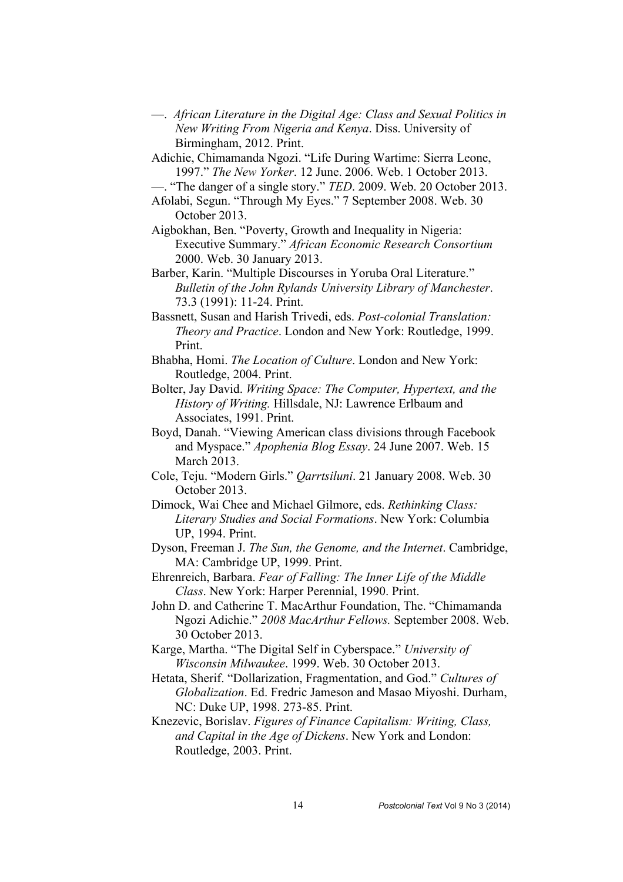- —. *African Literature in the Digital Age: Class and Sexual Politics in New Writing From Nigeria and Kenya*. Diss. University of Birmingham, 2012. Print.
- Adichie, Chimamanda Ngozi. "Life During Wartime: Sierra Leone, 1997." *The New Yorker*. 12 June. 2006. Web. 1 October 2013.

—. "The danger of a single story." *TED*. 2009. Web. 20 October 2013.

- Afolabi, Segun. "Through My Eyes." 7 September 2008. Web. 30 October 2013.
- Aigbokhan, Ben. "Poverty, Growth and Inequality in Nigeria: Executive Summary." *African Economic Research Consortium* 2000. Web. 30 January 2013.
- Barber, Karin. "Multiple Discourses in Yoruba Oral Literature." *Bulletin of the John Rylands University Library of Manchester*. 73.3 (1991): 11-24. Print.
- Bassnett, Susan and Harish Trivedi, eds. *Post-colonial Translation: Theory and Practice*. London and New York: Routledge, 1999. Print.
- Bhabha, Homi. *The Location of Culture*. London and New York: Routledge, 2004. Print.
- Bolter, Jay David. *Writing Space: The Computer, Hypertext, and the History of Writing.* Hillsdale, NJ: Lawrence Erlbaum and Associates, 1991. Print.
- Boyd, Danah. "Viewing American class divisions through Facebook and Myspace." *Apophenia Blog Essay*. 24 June 2007. Web. 15 March 2013.
- Cole, Teju. "Modern Girls." *Qarrtsiluni*. 21 January 2008. Web. 30 October 2013.
- Dimock, Wai Chee and Michael Gilmore, eds. *Rethinking Class: Literary Studies and Social Formations*. New York: Columbia UP, 1994. Print.
- Dyson, Freeman J. *The Sun, the Genome, and the Internet*. Cambridge, MA: Cambridge UP, 1999. Print.
- Ehrenreich, Barbara. *Fear of Falling: The Inner Life of the Middle Class*. New York: Harper Perennial, 1990. Print.
- John D. and Catherine T. MacArthur Foundation, The. "Chimamanda Ngozi Adichie." *2008 MacArthur Fellows.* September 2008. Web. 30 October 2013.
- Karge, Martha. "The Digital Self in Cyberspace." *University of Wisconsin Milwaukee*. 1999. Web. 30 October 2013.
- Hetata, Sherif. "Dollarization, Fragmentation, and God." *Cultures of Globalization*. Ed. Fredric Jameson and Masao Miyoshi. Durham, NC: Duke UP, 1998. 273-85. Print.
- Knezevic, Borislav. *Figures of Finance Capitalism: Writing, Class, and Capital in the Age of Dickens*. New York and London: Routledge, 2003. Print.